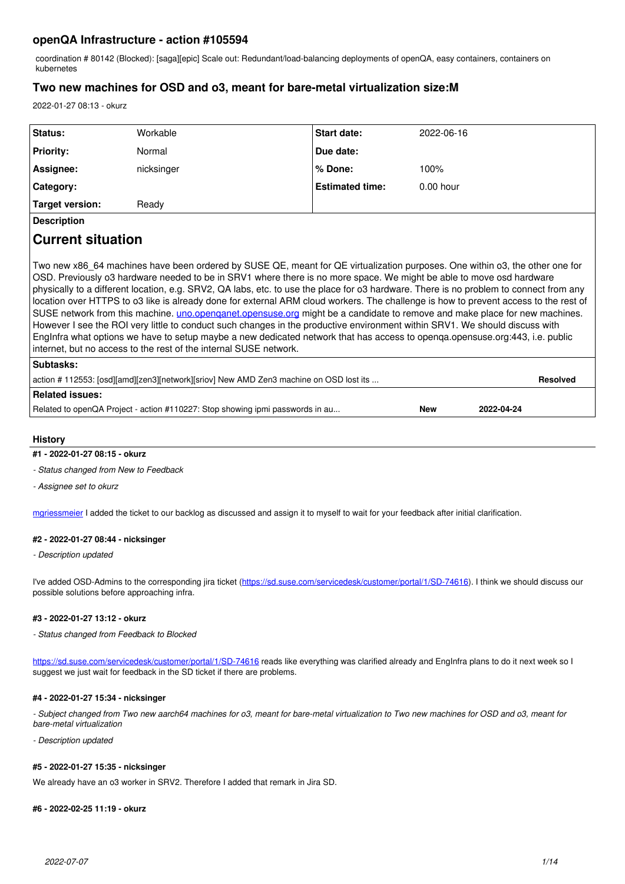## **openQA Infrastructure - action #105594**

coordination # 80142 (Blocked): [saga][epic] Scale out: Redundant/load-balancing deployments of openQA, easy containers, containers on kubernetes

## **Two new machines for OSD and o3, meant for bare-metal virtualization size:M**

2022-01-27 08:13 - okurz

| Status:                | Workable   | <b>Start date:</b>     | 2022-06-16  |
|------------------------|------------|------------------------|-------------|
| <b>Priority:</b>       | Normal     | Due date:              |             |
| Assignee:              | nicksinger | % Done:                | 100%        |
| Category:              |            | <b>Estimated time:</b> | $0.00$ hour |
| <b>Target version:</b> | Ready      |                        |             |
| <b>Description</b>     |            |                        |             |

# **Current situation**

Two new x86\_64 machines have been ordered by SUSE QE, meant for QE virtualization purposes. One within o3, the other one for OSD. Previously o3 hardware needed to be in SRV1 where there is no more space. We might be able to move osd hardware physically to a different location, e.g. SRV2, QA labs, etc. to use the place for o3 hardware. There is no problem to connect from any location over HTTPS to o3 like is already done for external ARM cloud workers. The challenge is how to prevent access to the rest of SUSE network from this machine. *uno.openqanet.opensuse.org* might be a candidate to remove and make place for new machines. However I see the ROI very little to conduct such changes in the productive environment within SRV1. We should discuss with EngInfra what options we have to setup maybe a new dedicated network that has access to openqa.opensuse.org:443, i.e. public internet, but no access to the rest of the internal SUSE network.

| <b>Subtasks:</b>                                                                       |            |            |  |
|----------------------------------------------------------------------------------------|------------|------------|--|
| action # 112553: [osd][amd][zen3][network][sriov] New AMD Zen3 machine on OSD lost its |            |            |  |
| Related issues:                                                                        |            |            |  |
| Related to openQA Project - action #110227: Stop showing ipmi passwords in au          | <b>New</b> | 2022-04-24 |  |
|                                                                                        |            |            |  |

## **History**

## **#1 - 2022-01-27 08:15 - okurz**

*- Status changed from New to Feedback*

*- Assignee set to okurz*

[mgriessmeier](progress.opensuse.org/users/15418) I added the ticket to our backlog as discussed and assign it to myself to wait for your feedback after initial clarification.

## **#2 - 2022-01-27 08:44 - nicksinger**

*- Description updated*

I've added OSD-Admins to the corresponding jira ticket (<https://sd.suse.com/servicedesk/customer/portal/1/SD-74616>). I think we should discuss our possible solutions before approaching infra.

## **#3 - 2022-01-27 13:12 - okurz**

*- Status changed from Feedback to Blocked*

<https://sd.suse.com/servicedesk/customer/portal/1/SD-74616>reads like everything was clarified already and EngInfra plans to do it next week so I suggest we just wait for feedback in the SD ticket if there are problems.

## **#4 - 2022-01-27 15:34 - nicksinger**

*- Subject changed from Two new aarch64 machines for o3, meant for bare-metal virtualization to Two new machines for OSD and o3, meant for bare-metal virtualization*

*- Description updated*

## **#5 - 2022-01-27 15:35 - nicksinger**

We already have an o3 worker in SRV2. Therefore I added that remark in Jira SD.

#### **#6 - 2022-02-25 11:19 - okurz**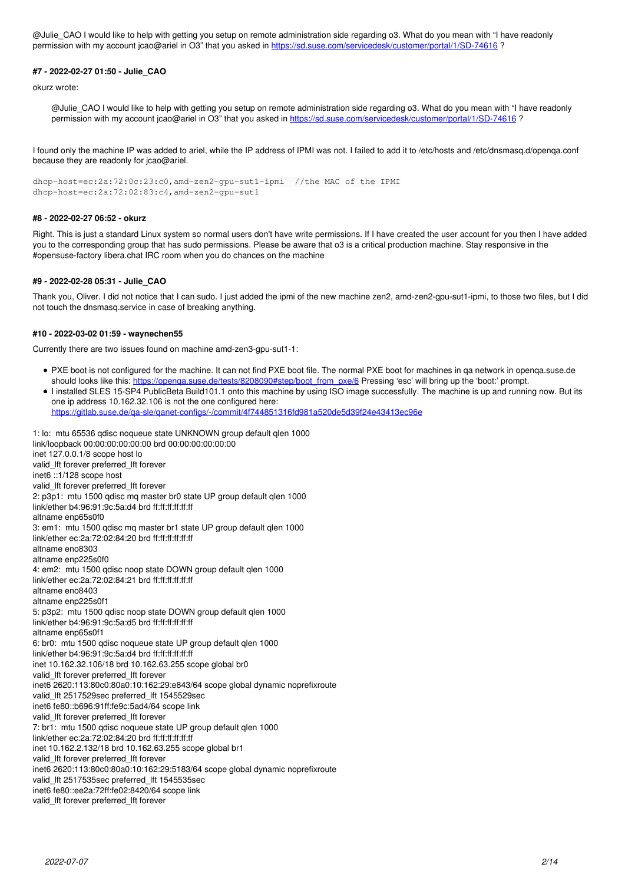@Julie\_CAO I would like to help with getting you setup on remote administration side regarding o3. What do you mean with "I have readonly permission with my account jcao@ariel in O3" that you asked in<https://sd.suse.com/servicedesk/customer/portal/1/SD-74616> ?

## **#7 - 2022-02-27 01:50 - Julie\_CAO**

okurz wrote:

@Julie\_CAO I would like to help with getting you setup on remote administration side regarding o3. What do you mean with "I have readonly permission with my account jcao@ariel in O3" that you asked in<https://sd.suse.com/servicedesk/customer/portal/1/SD-74616>?

I found only the machine IP was added to ariel, while the IP address of IPMI was not. I failed to add it to /etc/hosts and /etc/dnsmasq.d/openqa.conf because they are readonly for jcao@ariel.

dhcp-host=ec:2a:72:0c:23:c0,amd-zen2-gpu-sut1-ipmi //the MAC of the IPMI dhcp-host=ec:2a:72:02:83:c4,amd-zen2-gpu-sut1

## **#8 - 2022-02-27 06:52 - okurz**

Right. This is just a standard Linux system so normal users don't have write permissions. If I have created the user account for you then I have added you to the corresponding group that has sudo permissions. Please be aware that o3 is a critical production machine. Stay responsive in the #opensuse-factory libera.chat IRC room when you do chances on the machine

## **#9 - 2022-02-28 05:31 - Julie\_CAO**

Thank you, Oliver. I did not notice that I can sudo. I just added the ipmi of the new machine zen2, amd-zen2-gpu-sut1-ipmi, to those two files, but I did not touch the dnsmasq.service in case of breaking anything.

## **#10 - 2022-03-02 01:59 - waynechen55**

Currently there are two issues found on machine amd-zen3-gpu-sut1-1:

- PXE boot is not configured for the machine. It can not find PXE boot file. The normal PXE boot for machines in qa network in openqa.suse.de should looks like this: [https://openqa.suse.de/tests/8208090#step/boot\\_from\\_pxe/6](https://openqa.suse.de/tests/8208090#step/boot_from_pxe/6) Pressing 'esc' will bring up the 'boot:' prompt.
- I installed SLES 15-SP4 PublicBeta Build101.1 onto this machine by using ISO image successfully. The machine is up and running now. But its one ip address 10.162.32.106 is not the one configured here:

<https://gitlab.suse.de/qa-sle/qanet-configs/-/commit/4f744851316fd981a520de5d39f24e43413ec96e>

1: lo: mtu 65536 qdisc noqueue state UNKNOWN group default qlen 1000 link/loopback 00:00:00:00:00:00 brd 00:00:00:00:00:00 inet 127.0.0.1/8 scope host lo valid\_lft forever preferred\_lft forever inet6 ::1/128 scope host valid\_lft forever preferred\_lft forever 2: p3p1: mtu 1500 qdisc mq master br0 state UP group default qlen 1000 link/ether b4:96:91:9c:5a:d4 brd ff:ff:ff:ff:ff:ff altname enp65s0f0 3: em1: mtu 1500 qdisc mq master br1 state UP group default qlen 1000 link/ether ec:2a:72:02:84:20 brd ff:ff:ff:ff:ff:ff altname eno8303 altname enp225s0f0 4: em2: mtu 1500 qdisc noop state DOWN group default qlen 1000 link/ether ec:2a:72:02:84:21 brd ff:ff:ff:ff:ff:ff altname eno8403 altname enp225s0f1 5: p3p2: mtu 1500 qdisc noop state DOWN group default qlen 1000 link/ether b4:96:91:9c:5a:d5 brd ff:ff:ff:ff:ff:ff altname enp65s0f1 6: br0: mtu 1500 qdisc noqueue state UP group default qlen 1000 link/ether b4:96:91:9c:5a:d4 brd ff:ff:ff:ff:ff:ff inet 10.162.32.106/18 brd 10.162.63.255 scope global br0 valid\_lft forever preferred\_lft forever inet6 2620:113:80c0:80a0:10:162:29:e843/64 scope global dynamic noprefixroute valid lft 2517529sec preferred lft 1545529sec inet6 fe80::b696:91ff:fe9c:5ad4/64 scope link valid\_lft forever preferred\_lft forever 7: br1: mtu 1500 qdisc noqueue state UP group default qlen 1000 link/ether ec:2a:72:02:84:20 brd ff:ff:ff:ff:ff:ff inet 10.162.2.132/18 brd 10.162.63.255 scope global br1 valid\_lft forever preferred\_lft forever inet6 2620:113:80c0:80a0:10:162:29:5183/64 scope global dynamic noprefixroute valid lft 2517535sec preferred lft 1545535sec inet6 fe80::ee2a:72ff:fe02:8420/64 scope link valid\_lft forever preferred\_lft forever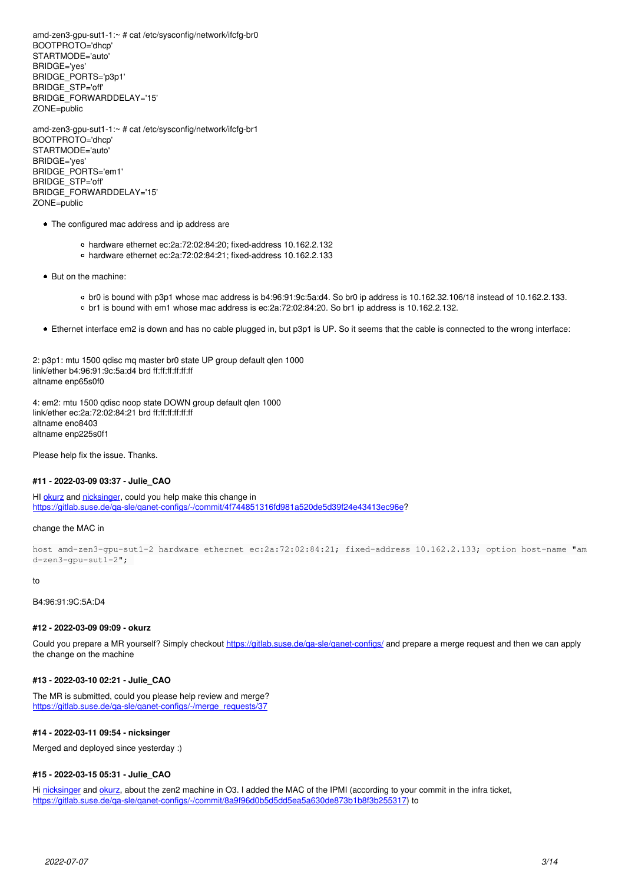amd-zen3-gpu-sut1-1:~ # cat /etc/sysconfig/network/ifcfg-br0 BOOTPROTO='dhcp' STARTMODE='auto' BRIDGE='yes' BRIDGE\_PORTS='p3p1' BRIDGE\_STP='off' BRIDGE\_FORWARDDELAY='15' ZONE=public

amd-zen3-gpu-sut1-1:~ # cat /etc/sysconfig/network/ifcfg-br1 BOOTPROTO='dhcp' STARTMODE='auto' BRIDGE='yes' BRIDGE\_PORTS='em1' BRIDGE\_STP='off' BRIDGE\_FORWARDDELAY='15' ZONE=public

- The configured mac address and ip address are
	- hardware ethernet ec:2a:72:02:84:20; fixed-address 10.162.2.132
	- hardware ethernet ec:2a:72:02:84:21; fixed-address 10.162.2.133
- But on the machine:
	- br0 is bound with p3p1 whose mac address is b4:96:91:9c:5a:d4. So br0 ip address is 10.162.32.106/18 instead of 10.162.2.133.
	- br1 is bound with em1 whose mac address is ec:2a:72:02:84:20. So br1 ip address is 10.162.2.132.
- Ethernet interface em2 is down and has no cable plugged in, but p3p1 is UP. So it seems that the cable is connected to the wrong interface:

2: p3p1: mtu 1500 qdisc mq master br0 state UP group default qlen 1000 link/ether b4:96:91:9c:5a:d4 brd ff:ff:ff:ff:ff:ff altname enp65s0f0

4: em2: mtu 1500 qdisc noop state DOWN group default qlen 1000 link/ether ec:2a:72:02:84:21 brd ff:ff:ff:ff:ff:ff altname eno8403 altname enp225s0f1

Please help fix the issue. Thanks.

### **#11 - 2022-03-09 03:37 - Julie\_CAO**

HI [okurz](progress.opensuse.org/users/17668) and [nicksinger,](progress.opensuse.org/users/24624) could you help make this change in [https://gitlab.suse.de/qa-sle/qanet-configs/-/commit/4f744851316fd981a520de5d39f24e43413ec96e?](https://gitlab.suse.de/qa-sle/qanet-configs/-/commit/4f744851316fd981a520de5d39f24e43413ec96e)

#### change the MAC in

host amd-zen3-gpu-sut1-2 hardware ethernet ec:2a:72:02:84:21; fixed-address 10.162.2.133; option host-name "am d-zen3-gpu-sut1-2";

#### to

B4:96:91:9C:5A:D4

#### **#12 - 2022-03-09 09:09 - okurz**

Could you prepare a MR yourself? Simply checkout https://gitlab.suse.de/ga-sle/ganet-configs/ and prepare a merge request and then we can apply the change on the machine

#### **#13 - 2022-03-10 02:21 - Julie\_CAO**

The MR is submitted, could you please help review and merge? https://gitlab.suse.de/ga-sle/ganet-configs/-/merge\_requests/37

#### **#14 - 2022-03-11 09:54 - nicksinger**

Merged and deployed since yesterday :)

#### **#15 - 2022-03-15 05:31 - Julie\_CAO**

Hi [nicksinger](progress.opensuse.org/users/24624) and [okurz](progress.opensuse.org/users/17668), about the zen2 machine in O3. I added the MAC of the IPMI (according to your commit in the infra ticket, <https://gitlab.suse.de/qa-sle/qanet-configs/-/commit/8a9f96d0b5d5dd5ea5a630de873b1b8f3b255317>) to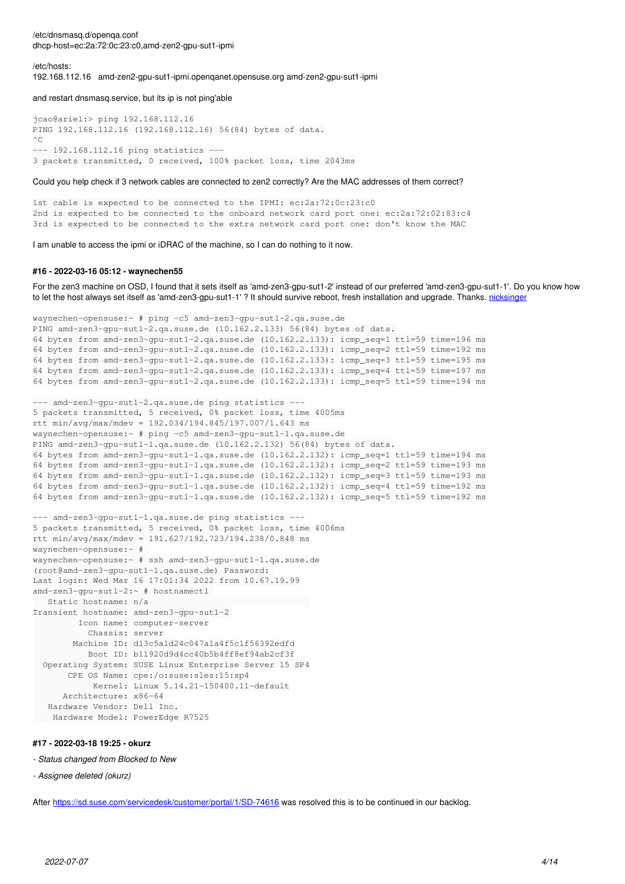/etc/dnsmasq.d/openqa.conf dhcp-host=ec:2a:72:0c:23:c0,amd-zen2-gpu-sut1-ipmi

/etc/hosts:

192.168.112.16 amd-zen2-gpu-sut1-ipmi.openqanet.opensuse.org amd-zen2-gpu-sut1-ipmi

and restart dnsmasq.service, but its ip is not ping'able

```
jcao@ariel:> ping 192.168.112.16
PING 192.168.112.16 (192.168.112.16) 56(84) bytes of data.
\wedge \cap--- 192.168.112.16 ping statistics ---
3 packets transmitted, 0 received, 100% packet loss, time 2043ms
```
#### Could you help check if 3 network cables are connected to zen2 correctly? Are the MAC addresses of them correct?

1st cable is expected to be connected to the IPMI: ec:2a:72:0c:23:c0 2nd is expected to be connected to the onboard network card port one: ec:2a:72:02:83:c4 3rd is expected to be connected to the extra network card port one: don't know the MAC

I am unable to access the ipmi or iDRAC of the machine, so I can do nothing to it now.

### **#16 - 2022-03-16 05:12 - waynechen55**

For the zen3 machine on OSD, I found that it sets itself as 'amd-zen3-gpu-sut1-2' instead of our preferred 'amd-zen3-gpu-sut1-1'. Do you know how to let the host always set itself as 'amd-zen3-gpu-sut1-1' ? It should survive reboot, fresh installation and upgrade. Thanks. [nicksinger](progress.opensuse.org/users/24624)

```
waynechen-opensuse:~ # ping -c5 amd-zen3-gpu-sut1-2.qa.suse.de
PING amd-zen3-gpu-sut1-2.qa.suse.de (10.162.2.133) 56(84) bytes of data.
64 bytes from amd-zen3-gpu-sut1-2.qa.suse.de (10.162.2.133): icmp_seq=1 ttl=59 time=196 ms
64 bytes from amd-zen3-gpu-sut1-2.qa.suse.de (10.162.2.133): icmp_seq=2 ttl=59 time=192 ms
64 bytes from amd-zen3-gpu-sut1-2.qa.suse.de (10.162.2.133): icmp_seq=3 ttl=59 time=195 ms
64 bytes from amd-zen3-qpu-sut1-2.qa.suse.de (10.162.2.133): icmp_seq=4 ttl=59 time=197 ms
64 bytes from amd-zen3-gpu-sut1-2.qa.suse.de (10.162.2.133): icmp_seq=5 ttl=59 time=194 ms
--- amd-zen3-gpu-sut1-2.qa.suse.de ping statistics ---
5 packets transmitted, 5 received, 0% packet loss, time 4005ms
rtt min/avg/max/mdev = 192.034/194.845/197.007/1.643 ms
waynechen-opensuse:~ # ping -c5 amd-zen3-gpu-sut1-1.qa.suse.de
PING amd-zen3-gpu-sut1-1.qa.suse.de (10.162.2.132) 56(84) bytes of data.
64 bytes from amd-zen3-gpu-sut1-1.qa.suse.de (10.162.2.132): icmp_seq=1 ttl=59 time=194 ms
64 bytes from amd-zen3-gpu-sut1-1.qa.suse.de (10.162.2.132): icmp_seq=2 ttl=59 time=193 ms
64 bytes from amd-zen3-gpu-sut1-1.qa.suse.de (10.162.2.132): icmp_seq=3 ttl=59 time=193 ms
64 bytes from amd-zen3-gpu-sut1-1.qa.suse.de (10.162.2.132): icmp_seq=4 ttl=59 time=192 ms
64 bytes from amd-zen3-gpu-sut1-1.qa.suse.de (10.162.2.132): icmp_seq=5 ttl=59 time=192 ms
--- amd-zen3-gpu-sut1-1.qa.suse.de ping statistics ---
5 packets transmitted, 5 received, 0% packet loss, time 4006ms
rtt min/avg/max/mdev = 191.627/192.723/194.238/0.848 ms
waynechen-opensuse:~ # 
waynechen-opensuse:~ # ssh amd-zen3-gpu-sut1-1.qa.suse.de
(root@amd-zen3-gpu-sut1-1.qa.suse.de) Password: 
Last login: Wed Mar 16 17:01:34 2022 from 10.67.19.99
amd-zen3-gpu-sut1-2:~ # hostnamectl 
      Static hostname: n/a                                
Transient hostname: amd-zen3-gpu-sut1-2
                 Icon name: computer-server
                      Chassis: server
                Machine ID: d13c5a1d24c047a1a4f5c1f56392edfd
                      Boot ID: b11920d9d4cc40b5b4ff8ef94ab2cf3f
    Operating System: SUSE Linux Enterprise Server 15 SP4
              CPE OS Name: cpe:/o:suse:sles:15:sp4
                        Kernel: Linux 5.14.21-150400.11-default
            Architecture: x86-64
      Hardware Vendor: Dell Inc.
       Hardware Model: PowerEdge R7525
```
## **#17 - 2022-03-18 19:25 - okurz**

#### *- Status changed from Blocked to New*

*- Assignee deleted (okurz)*

After<https://sd.suse.com/servicedesk/customer/portal/1/SD-74616>was resolved this is to be continued in our backlog.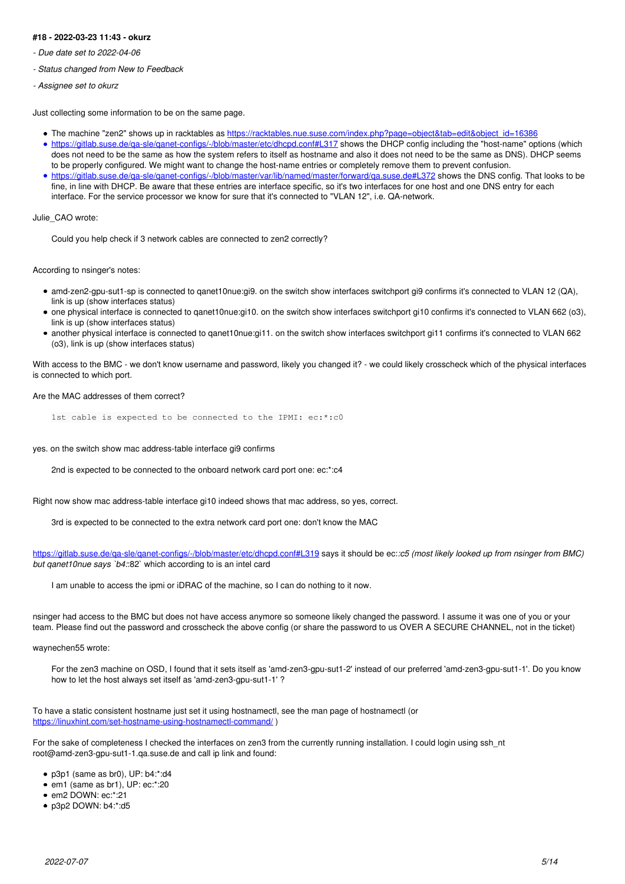## **#18 - 2022-03-23 11:43 - okurz**

- *Due date set to 2022-04-06*
- *Status changed from New to Feedback*
- *Assignee set to okurz*

Just collecting some information to be on the same page.

- The machine "zen2" shows up in racktables as [https://racktables.nue.suse.com/index.php?page=object&tab=edit&object\\_id=16386](https://racktables.nue.suse.com/index.php?page=object&tab=edit&object_id=16386)
- https://gitlab.suse.de/ga-sle/ganet-configs/-/blob/master/etc/dhcpd.conf#L317 shows the DHCP config including the "host-name" options (which does not need to be the same as how the system refers to itself as hostname and also it does not need to be the same as DNS). DHCP seems to be properly configured. We might want to change the host-name entries or completely remove them to prevent confusion.
- <https://gitlab.suse.de/qa-sle/qanet-configs/-/blob/master/var/lib/named/master/forward/qa.suse.de#L372>shows the DNS config. That looks to be fine, in line with DHCP. Be aware that these entries are interface specific, so it's two interfaces for one host and one DNS entry for each interface. For the service processor we know for sure that it's connected to "VLAN 12", i.e. QA-network.

Julie\_CAO wrote:

Could you help check if 3 network cables are connected to zen2 correctly?

According to nsinger's notes:

- amd-zen2-gpu-sut1-sp is connected to qanet10nue:gi9. on the switch show interfaces switchport gi9 confirms it's connected to VLAN 12 (QA), link is up (show interfaces status)
- one physical interface is connected to qanet10nue:gi10. on the switch show interfaces switchport gi10 confirms it's connected to VLAN 662 (o3), link is up (show interfaces status)
- another physical interface is connected to qanet10nue:gi11. on the switch show interfaces switchport gi11 confirms it's connected to VLAN 662 (o3), link is up (show interfaces status)

With access to the BMC - we don't know username and password, likely you changed it? - we could likely crosscheck which of the physical interfaces is connected to which port.

Are the MAC addresses of them correct?

1st cable is expected to be connected to the IPMI: ec:\*:c0

yes. on the switch show mac address-table interface gi9 confirms

2nd is expected to be connected to the onboard network card port one: ec:\*:c4

Right now show mac address-table interface gi10 indeed shows that mac address, so yes, correct.

3rd is expected to be connected to the extra network card port one: don't know the MAC

<https://gitlab.suse.de/qa-sle/qanet-configs/-/blob/master/etc/dhcpd.conf#L319> says it should be ec:*:c5 (most likely looked up from nsinger from BMC) but qanet10nue says `b4:*:82` which according to is an intel card

I am unable to access the ipmi or iDRAC of the machine, so I can do nothing to it now.

nsinger had access to the BMC but does not have access anymore so someone likely changed the password. I assume it was one of you or your team. Please find out the password and crosscheck the above config (or share the password to us OVER A SECURE CHANNEL, not in the ticket)

waynechen55 wrote:

For the zen3 machine on OSD, I found that it sets itself as 'amd-zen3-gpu-sut1-2' instead of our preferred 'amd-zen3-gpu-sut1-1'. Do you know how to let the host always set itself as 'amd-zen3-gpu-sut1-1' ?

To have a static consistent hostname just set it using hostnamectl, see the man page of hostnamectl (or <https://linuxhint.com/set-hostname-using-hostnamectl-command/>)

For the sake of completeness I checked the interfaces on zen3 from the currently running installation. I could login using ssh\_nt root@amd-zen3-gpu-sut1-1.qa.suse.de and call ip link and found:

- p3p1 (same as br0), UP: b4:\*:d4
- em1 (same as br1), UP: ec:\*:20
- em2 DOWN: ec:\*:21
- p3p2 DOWN: b4:\*:d5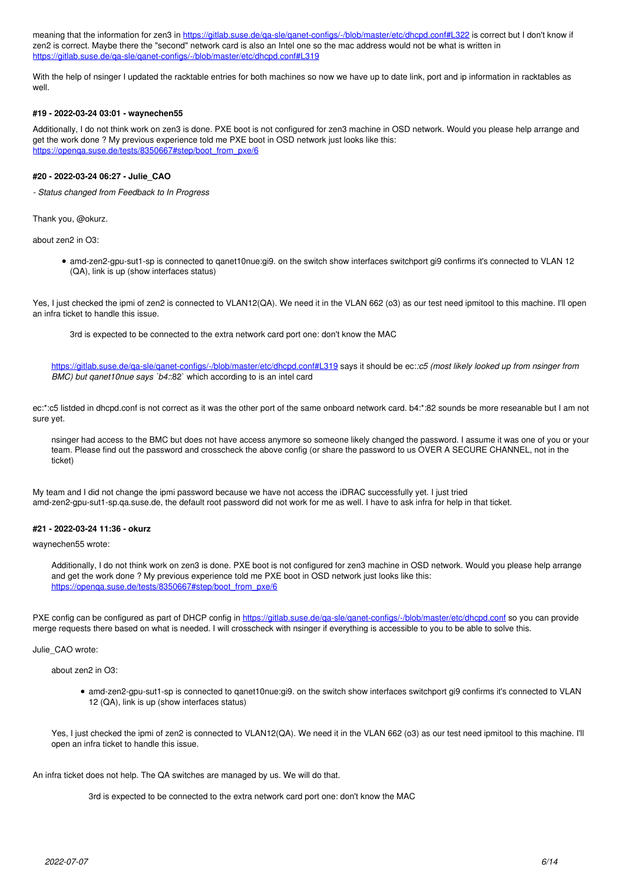meaning that the information for zen3 in https://gitlab.suse.de/ga-sle/ganet-configs/-/blob/master/etc/dhcpd.conf#L322 is correct but I don't know if zen2 is correct. Maybe there the "second" network card is also an Intel one so the mac address would not be what is written in <https://gitlab.suse.de/qa-sle/qanet-configs/-/blob/master/etc/dhcpd.conf#L319>

With the help of nsinger I updated the racktable entries for both machines so now we have up to date link, port and ip information in racktables as well.

### **#19 - 2022-03-24 03:01 - waynechen55**

Additionally, I do not think work on zen3 is done. PXE boot is not configured for zen3 machine in OSD network. Would you please help arrange and get the work done ? My previous experience told me PXE boot in OSD network just looks like this: [https://openqa.suse.de/tests/8350667#step/boot\\_from\\_pxe/6](https://openqa.suse.de/tests/8350667#step/boot_from_pxe/6)

## **#20 - 2022-03-24 06:27 - Julie\_CAO**

*- Status changed from Feedback to In Progress*

Thank you, @okurz.

about zen2 in O3:

amd-zen2-gpu-sut1-sp is connected to qanet10nue:gi9. on the switch show interfaces switchport gi9 confirms it's connected to VLAN 12 (QA), link is up (show interfaces status)

Yes, I just checked the ipmi of zen2 is connected to VLAN12(QA). We need it in the VLAN 662 (o3) as our test need ipmitool to this machine. I'll open an infra ticket to handle this issue.

3rd is expected to be connected to the extra network card port one: don't know the MAC

<https://gitlab.suse.de/qa-sle/qanet-configs/-/blob/master/etc/dhcpd.conf#L319> says it should be ec:*:c5 (most likely looked up from nsinger from BMC) but qanet10nue says `b4:*:82` which according to is an intel card

ec:\*:c5 listded in dhcpd.conf is not correct as it was the other port of the same onboard network card. b4:\*:82 sounds be more reseanable but I am not sure yet.

nsinger had access to the BMC but does not have access anymore so someone likely changed the password. I assume it was one of you or your team. Please find out the password and crosscheck the above config (or share the password to us OVER A SECURE CHANNEL, not in the ticket)

My team and I did not change the ipmi password because we have not access the iDRAC successfully yet. I just tried amd-zen2-gpu-sut1-sp.qa.suse.de, the default root password did not work for me as well. I have to ask infra for help in that ticket.

## **#21 - 2022-03-24 11:36 - okurz**

waynechen55 wrote:

Additionally, I do not think work on zen3 is done. PXE boot is not configured for zen3 machine in OSD network. Would you please help arrange and get the work done ? My previous experience told me PXE boot in OSD network just looks like this: [https://openqa.suse.de/tests/8350667#step/boot\\_from\\_pxe/6](https://openqa.suse.de/tests/8350667#step/boot_from_pxe/6)

PXE config can be configured as part of DHCP config in https://gitlab.suse.de/ga-sle/ganet-configs/-/blob/master/etc/dhcpd.conf so you can provide merge requests there based on what is needed. I will crosscheck with nsinger if everything is accessible to you to be able to solve this.

Julie\_CAO wrote:

about zen2 in O3:

amd-zen2-gpu-sut1-sp is connected to qanet10nue:gi9. on the switch show interfaces switchport gi9 confirms it's connected to VLAN 12 (QA), link is up (show interfaces status)

Yes, I just checked the ipmi of zen2 is connected to VLAN12(QA). We need it in the VLAN 662 (o3) as our test need ipmitool to this machine. I'll open an infra ticket to handle this issue.

An infra ticket does not help. The QA switches are managed by us. We will do that.

3rd is expected to be connected to the extra network card port one: don't know the MAC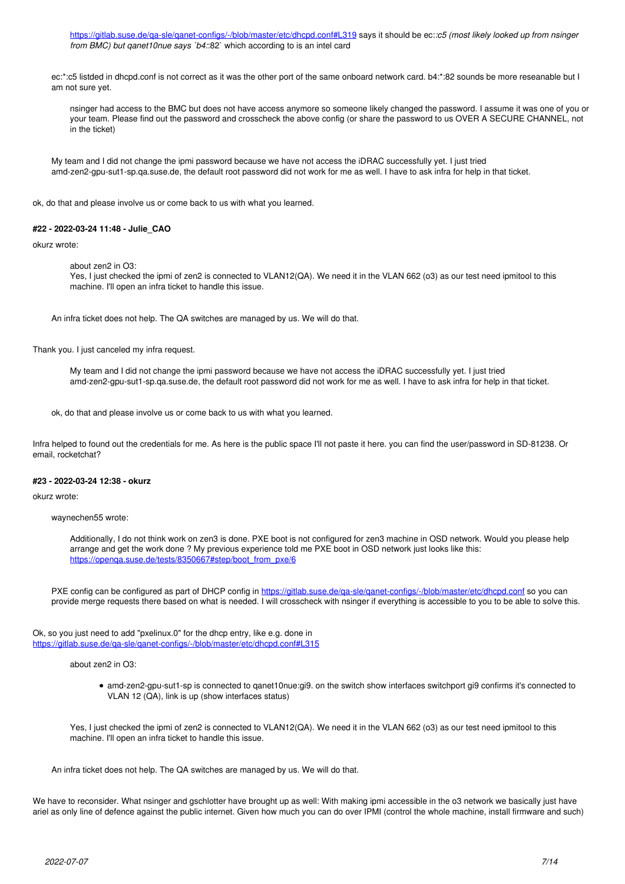<https://gitlab.suse.de/qa-sle/qanet-configs/-/blob/master/etc/dhcpd.conf#L319>says it should be ec:*:c5 (most likely looked up from nsinger from BMC) but qanet10nue says `b4:*:82` which according to is an intel card

ec:\*:c5 listded in dhcpd.conf is not correct as it was the other port of the same onboard network card. b4:\*:82 sounds be more reseanable but I am not sure yet.

nsinger had access to the BMC but does not have access anymore so someone likely changed the password. I assume it was one of you or your team. Please find out the password and crosscheck the above config (or share the password to us OVER A SECURE CHANNEL, not in the ticket)

My team and I did not change the ipmi password because we have not access the iDRAC successfully yet. I just tried amd-zen2-gpu-sut1-sp.qa.suse.de, the default root password did not work for me as well. I have to ask infra for help in that ticket.

ok, do that and please involve us or come back to us with what you learned.

## **#22 - 2022-03-24 11:48 - Julie\_CAO**

#### okurz wrote:

about zen2 in O3:

Yes, I just checked the ipmi of zen2 is connected to VLAN12(QA). We need it in the VLAN 662 (o3) as our test need ipmitool to this machine. I'll open an infra ticket to handle this issue.

An infra ticket does not help. The QA switches are managed by us. We will do that.

Thank you. I just canceled my infra request.

My team and I did not change the ipmi password because we have not access the iDRAC successfully yet. I just tried amd-zen2-gpu-sut1-sp.qa.suse.de, the default root password did not work for me as well. I have to ask infra for help in that ticket.

ok, do that and please involve us or come back to us with what you learned.

Infra helped to found out the credentials for me. As here is the public space I'll not paste it here. you can find the user/password in SD-81238. Or email, rocketchat?

### **#23 - 2022-03-24 12:38 - okurz**

okurz wrote:

waynechen55 wrote:

Additionally, I do not think work on zen3 is done. PXE boot is not configured for zen3 machine in OSD network. Would you please help arrange and get the work done ? My previous experience told me PXE boot in OSD network just looks like this: [https://openqa.suse.de/tests/8350667#step/boot\\_from\\_pxe/6](https://openqa.suse.de/tests/8350667#step/boot_from_pxe/6)

PXE config can be configured as part of DHCP config in<https://gitlab.suse.de/qa-sle/qanet-configs/-/blob/master/etc/dhcpd.conf>so you can provide merge requests there based on what is needed. I will crosscheck with nsinger if everything is accessible to you to be able to solve this.

Ok, so you just need to add "pxelinux.0" for the dhcp entry, like e.g. done in <https://gitlab.suse.de/qa-sle/qanet-configs/-/blob/master/etc/dhcpd.conf#L315>

about zen2 in O3:

amd-zen2-gpu-sut1-sp is connected to qanet10nue:gi9. on the switch show interfaces switchport gi9 confirms it's connected to VLAN 12 (QA), link is up (show interfaces status)

Yes, I just checked the ipmi of zen2 is connected to VLAN12(QA). We need it in the VLAN 662 (o3) as our test need ipmitool to this machine. I'll open an infra ticket to handle this issue.

An infra ticket does not help. The QA switches are managed by us. We will do that.

We have to reconsider. What nsinger and gschlotter have brought up as well: With making ipmi accessible in the o3 network we basically just have ariel as only line of defence against the public internet. Given how much you can do over IPMI (control the whole machine, install firmware and such)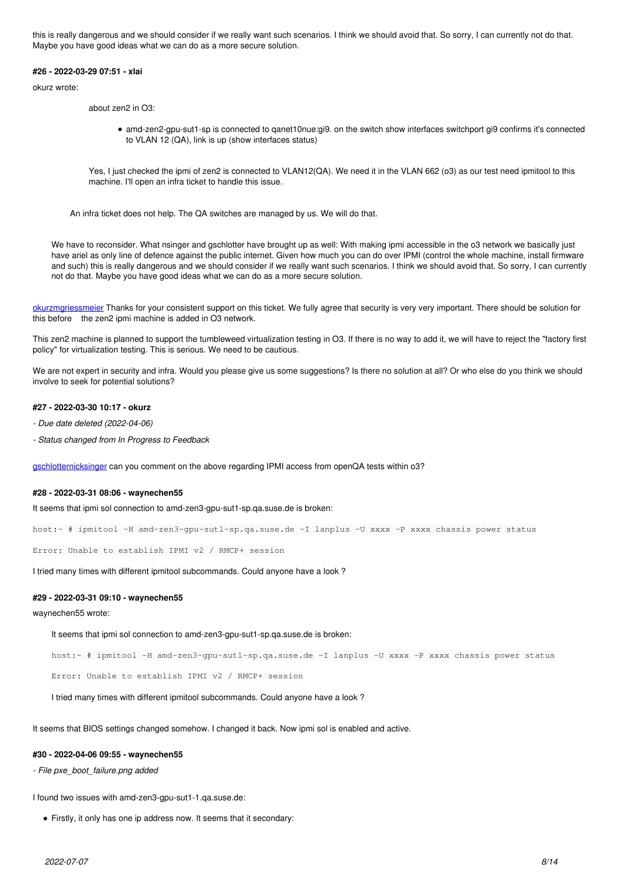this is really dangerous and we should consider if we really want such scenarios. I think we should avoid that. So sorry, I can currently not do that. Maybe you have good ideas what we can do as a more secure solution.

#### **#26 - 2022-03-29 07:51 - xlai**

okurz wrote:

about zen2 in O3:

amd-zen2-gpu-sut1-sp is connected to qanet10nue:gi9. on the switch show interfaces switchport gi9 confirms it's connected to VLAN 12 (QA), link is up (show interfaces status)

Yes, I just checked the ipmi of zen2 is connected to VLAN12(QA). We need it in the VLAN 662 (o3) as our test need ipmitool to this machine. I'll open an infra ticket to handle this issue.

An infra ticket does not help. The QA switches are managed by us. We will do that.

We have to reconsider. What nsinger and gschlotter have brought up as well: With making ipmi accessible in the o3 network we basically just have ariel as only line of defence against the public internet. Given how much you can do over IPMI (control the whole machine, install firmware and such) this is really dangerous and we should consider if we really want such scenarios. I think we should avoid that. So sorry, I can currently not do that. Maybe you have good ideas what we can do as a more secure solution.

[okurz](progress.opensuse.org/users/17668)[mgriessmeier](progress.opensuse.org/users/15418) Thanks for your consistent support on this ticket. We fully agree that security is very very important. There should be solution for this before the zen2 ipmi machine is added in O3 network.

This zen2 machine is planned to support the tumbleweed virtualization testing in O3. If there is no way to add it, we will have to reject the "factory first policy" for virtualization testing. This is serious. We need to be cautious.

We are not expert in security and infra. Would you please give us some suggestions? Is there no solution at all? Or who else do you think we should involve to seek for potential solutions?

#### **#27 - 2022-03-30 10:17 - okurz**

*- Due date deleted (2022-04-06)*

*- Status changed from In Progress to Feedback*

[gschlotter](progress.opensuse.org/users/1816)[nicksinger](progress.opensuse.org/users/24624) can you comment on the above regarding IPMI access from openQA tests within o3?

#### **#28 - 2022-03-31 08:06 - waynechen55**

It seems that ipmi sol connection to amd-zen3-gpu-sut1-sp.qa.suse.de is broken:

host:~ # ipmitool -H amd-zen3-gpu-sut1-sp.qa.suse.de -I lanplus -U xxxx -P xxxx chassis power status

Error: Unable to establish IPMI v2 / RMCP+ session

I tried many times with different ipmitool subcommands. Could anyone have a look ?

#### **#29 - 2022-03-31 09:10 - waynechen55**

waynechen55 wrote:

It seems that ipmi sol connection to amd-zen3-gpu-sut1-sp.ga.suse.de is broken:

host:~ # ipmitool -H amd-zen3-gpu-sut1-sp.qa.suse.de -I lanplus -U xxxx -P xxxx chassis power status

Error: Unable to establish IPMI v2 / RMCP+ session

I tried many times with different ipmitool subcommands. Could anyone have a look ?

It seems that BIOS settings changed somehow. I changed it back. Now ipmi sol is enabled and active.

#### **#30 - 2022-04-06 09:55 - waynechen55**

*- File pxe\_boot\_failure.png added*

I found two issues with amd-zen3-gpu-sut1-1.qa.suse.de:

Firstly, it only has one ip address now. It seems that it secondary: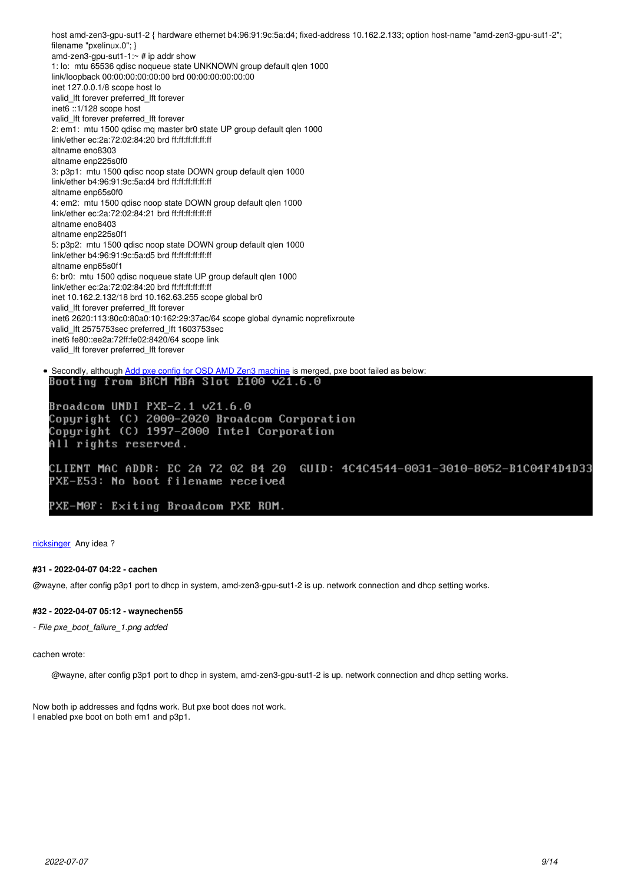host amd-zen3-gpu-sut1-2 { hardware ethernet b4:96:91:9c:5a:d4; fixed-address 10.162.2.133; option host-name "amd-zen3-gpu-sut1-2"; filename "pxelinux.0"; } amd-zen3-gpu-sut1-1: $\sim$  # ip addr show 1: lo: mtu 65536 qdisc noqueue state UNKNOWN group default qlen 1000 link/loopback 00:00:00:00:00:00 brd 00:00:00:00:00:00 inet 127.0.0.1/8 scope host lo valid\_lft forever preferred\_lft forever inet6 ::1/128 scope host valid\_lft forever preferred\_lft forever 2: em1: mtu 1500 qdisc mq master br0 state UP group default qlen 1000 link/ether ec:2a:72:02:84:20 brd ff:ff:ff:ff:ff:ff altname eno8303 altname enp225s0f0 3: p3p1: mtu 1500 qdisc noop state DOWN group default qlen 1000 link/ether b4:96:91:9c:5a:d4 brd ff:ff:ff:ff:ff:ff altname enp65s0f0 4: em2: mtu 1500 qdisc noop state DOWN group default qlen 1000 link/ether ec:2a:72:02:84:21 brd ff:ff:ff:ff:ff:ff altname eno8403 altname enp225s0f1 5: p3p2: mtu 1500 qdisc noop state DOWN group default qlen 1000 link/ether b4:96:91:9c:5a:d5 brd ff:ff:ff:ff:ff:ff altname enp65s0f1 6: br0: mtu 1500 qdisc noqueue state UP group default qlen 1000 link/ether ec:2a:72:02:84:20 brd ff:ff:ff:ff:ff:ff inet 10.162.2.132/18 brd 10.162.63.255 scope global br0 valid\_lft forever preferred\_lft forever inet6 2620:113:80c0:80a0:10:162:29:37ac/64 scope global dynamic noprefixroute valid\_lft 2575753sec preferred\_lft 1603753sec inet6 fe80::ee2a:72ff:fe02:8420/64 scope link valid\_lft forever preferred\_lft forever • Secondly, although [Add pxe config for OSD AMD Zen3 machine](https://gitlab.suse.de/qa-sle/qanet-configs/-/merge_requests/40/) is merged, pxe boot failed as below:<br>Boot ing from BRCM MBA Slot E100 v21.6.0

Broadcom UNDI PXE-2.1 v21.6.0 Copyright (C) 2000-2020 Broadcom Corporation Copuright (C) 1997-2000 Intel Corporation All rights reserved.

CLIENT MAC ADDR: EC 2A 72 02 84 20 GUID: 4C4C4544-0031-3010-8052-B1C04F4D4D33 PXE-E53: No boot filename received

PXE-MOF: Exiting Broadcom PXE ROM.

[nicksinger](progress.opensuse.org/users/24624) Any idea?

## **#31 - 2022-04-07 04:22 - cachen**

@wayne, after config p3p1 port to dhcp in system, amd-zen3-gpu-sut1-2 is up. network connection and dhcp setting works.

#### **#32 - 2022-04-07 05:12 - waynechen55**

*- File pxe\_boot\_failure\_1.png added*

cachen wrote:

@wayne, after config p3p1 port to dhcp in system, amd-zen3-gpu-sut1-2 is up. network connection and dhcp setting works.

Now both ip addresses and fqdns work. But pxe boot does not work. I enabled pxe boot on both em1 and p3p1.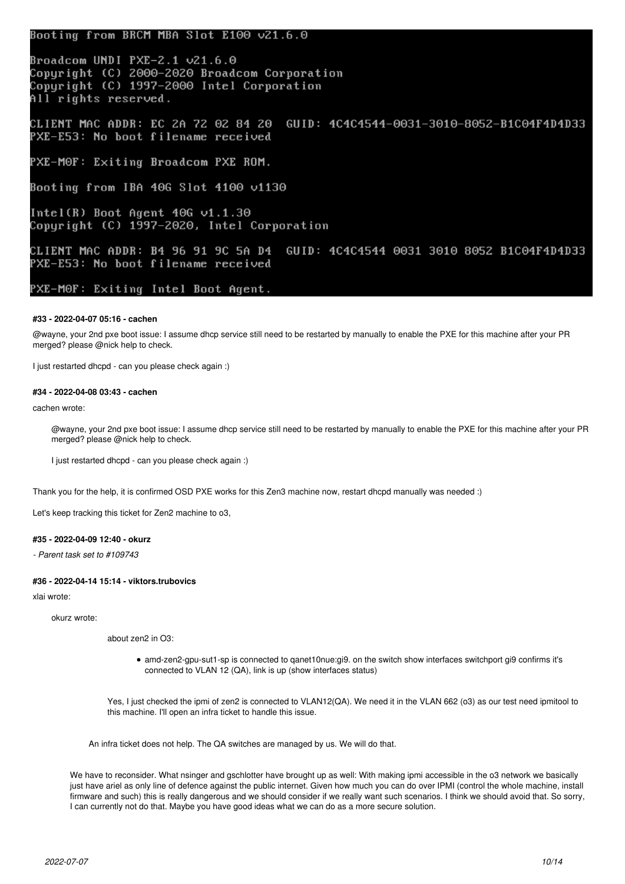## Booting from BRCM MBA Slot E100 ∪21.6.0

Broadcom UNDI PXE-2.1 v21.6.0 Copyright (C) 2000-2020 Broadcom Corporation Copyright (C) 1997-2000 Intel Corporation All rights reserved.

CLIENT MAC ADDR: EC 2A 72 02 84 20 GUID: 4C4C4544-0031-3010-8052-B1C04F4D4D33 PXE-E53: No boot filename received

PXE-M0F: Exiting Broadcom PXE ROM.

Booting from IBA 40G Slot 4100 v1130

Intel(R) Boot Agent  $40G$   $v1.1.30$ Copyright (C) 1997-2020, Intel Corporation

CLIENT MAC ADDR: B4 96 91 9C 5A D4 GUID: 4C4C4544 0031 3010 8052 B1C04F4D4D33 PXE-E53: No boot filename received

PXE-M0F: Exiting Intel Boot Agent.

## **#33 - 2022-04-07 05:16 - cachen**

@wayne, your 2nd pxe boot issue: I assume dhcp service still need to be restarted by manually to enable the PXE for this machine after your PR merged? please @nick help to check.

I just restarted dhcpd - can you please check again :)

## **#34 - 2022-04-08 03:43 - cachen**

cachen wrote:

@wayne, your 2nd pxe boot issue: I assume dhcp service still need to be restarted by manually to enable the PXE for this machine after your PR merged? please @nick help to check.

I just restarted dhcpd - can you please check again :)

Thank you for the help, it is confirmed OSD PXE works for this Zen3 machine now, restart dhcpd manually was needed :)

Let's keep tracking this ticket for Zen2 machine to o3,

## **#35 - 2022-04-09 12:40 - okurz**

*- Parent task set to #109743*

## **#36 - 2022-04-14 15:14 - viktors.trubovics**

xlai wrote:

okurz wrote:

about zen2 in O3:

amd-zen2-gpu-sut1-sp is connected to qanet10nue:gi9. on the switch show interfaces switchport gi9 confirms it's connected to VLAN 12 (QA), link is up (show interfaces status)

Yes, I just checked the ipmi of zen2 is connected to VLAN12(QA). We need it in the VLAN 662 (o3) as our test need ipmitool to this machine. I'll open an infra ticket to handle this issue.

An infra ticket does not help. The QA switches are managed by us. We will do that.

We have to reconsider. What nsinger and gschlotter have brought up as well: With making ipmi accessible in the o3 network we basically just have ariel as only line of defence against the public internet. Given how much you can do over IPMI (control the whole machine, install firmware and such) this is really dangerous and we should consider if we really want such scenarios. I think we should avoid that. So sorry, I can currently not do that. Maybe you have good ideas what we can do as a more secure solution.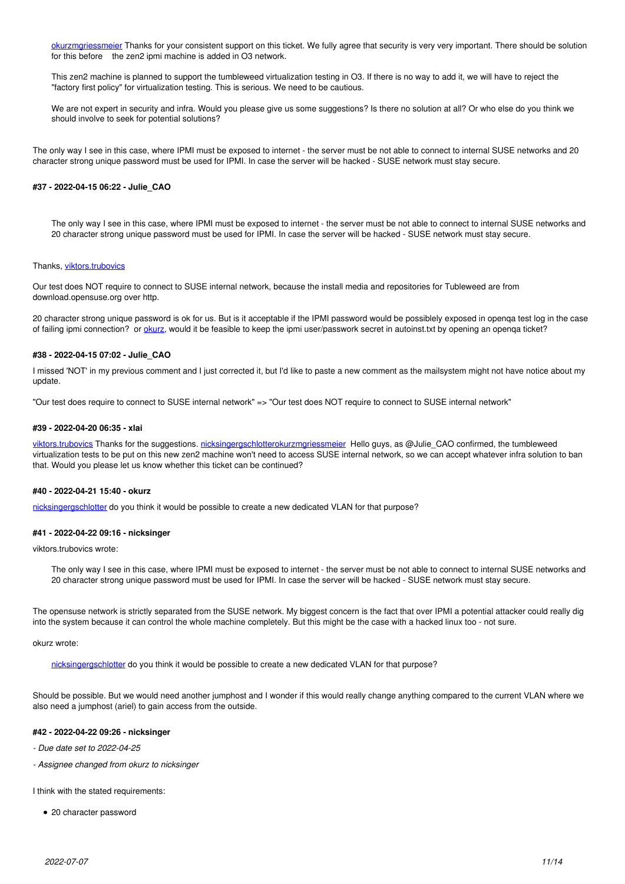[okurz](progress.opensuse.org/users/17668)[mgriessmeier](progress.opensuse.org/users/15418) Thanks for your consistent support on this ticket. We fully agree that security is very very important. There should be solution for this before the zen2 ipmi machine is added in O3 network.

This zen2 machine is planned to support the tumbleweed virtualization testing in O3. If there is no way to add it, we will have to reject the "factory first policy" for virtualization testing. This is serious. We need to be cautious.

We are not expert in security and infra. Would you please give us some suggestions? Is there no solution at all? Or who else do you think we should involve to seek for potential solutions?

The only way I see in this case, where IPMI must be exposed to internet - the server must be not able to connect to internal SUSE networks and 20 character strong unique password must be used for IPMI. In case the server will be hacked - SUSE network must stay secure.

#### **#37 - 2022-04-15 06:22 - Julie\_CAO**

The only way I see in this case, where IPMI must be exposed to internet - the server must be not able to connect to internal SUSE networks and 20 character strong unique password must be used for IPMI. In case the server will be hacked - SUSE network must stay secure.

#### Thanks, [viktors.trubovics](progress.opensuse.org/users/38787)

Our test does NOT require to connect to SUSE internal network, because the install media and repositories for Tubleweed are from download.opensuse.org over http.

20 character strong unique password is ok for us. But is it acceptable if the IPMI password would be possiblely exposed in openqa test log in the case of failing ipmi connection? or [okurz,](progress.opensuse.org/users/17668) would it be feasible to keep the ipmi user/passwork secret in autoinst.txt by opening an openqa ticket?

### **#38 - 2022-04-15 07:02 - Julie\_CAO**

I missed 'NOT' in my previous comment and I just corrected it, but I'd like to paste a new comment as the mailsystem might not have notice about my update.

"Our test does require to connect to SUSE internal network" => "Our test does NOT require to connect to SUSE internal network"

#### **#39 - 2022-04-20 06:35 - xlai**

[viktors.trubovics](progress.opensuse.org/users/38787) Thanks for the suggestions. [nicksinger](progress.opensuse.org/users/24624)[gschlotter](progress.opensuse.org/users/1816)[okurz](progress.opensuse.org/users/17668)[mgriessmeier](progress.opensuse.org/users/15418) Hello guys, as @Julie\_CAO confirmed, the tumbleweed virtualization tests to be put on this new zen2 machine won't need to access SUSE internal network, so we can accept whatever infra solution to ban that. Would you please let us know whether this ticket can be continued?

#### **#40 - 2022-04-21 15:40 - okurz**

[nicksinger](progress.opensuse.org/users/24624)[gschlotter](progress.opensuse.org/users/1816) do you think it would be possible to create a new dedicated VLAN for that purpose?

## **#41 - 2022-04-22 09:16 - nicksinger**

viktors.trubovics wrote:

The only way I see in this case, where IPMI must be exposed to internet - the server must be not able to connect to internal SUSE networks and 20 character strong unique password must be used for IPMI. In case the server will be hacked - SUSE network must stay secure.

The opensuse network is strictly separated from the SUSE network. My biggest concern is the fact that over IPMI a potential attacker could really dig into the system because it can control the whole machine completely. But this might be the case with a hacked linux too - not sure.

okurz wrote:

[nicksinger](progress.opensuse.org/users/24624)[gschlotter](progress.opensuse.org/users/1816) do you think it would be possible to create a new dedicated VLAN for that purpose?

Should be possible. But we would need another jumphost and I wonder if this would really change anything compared to the current VLAN where we also need a jumphost (ariel) to gain access from the outside.

### **#42 - 2022-04-22 09:26 - nicksinger**

- *Due date set to 2022-04-25*
- *Assignee changed from okurz to nicksinger*

I think with the stated requirements:

• 20 character password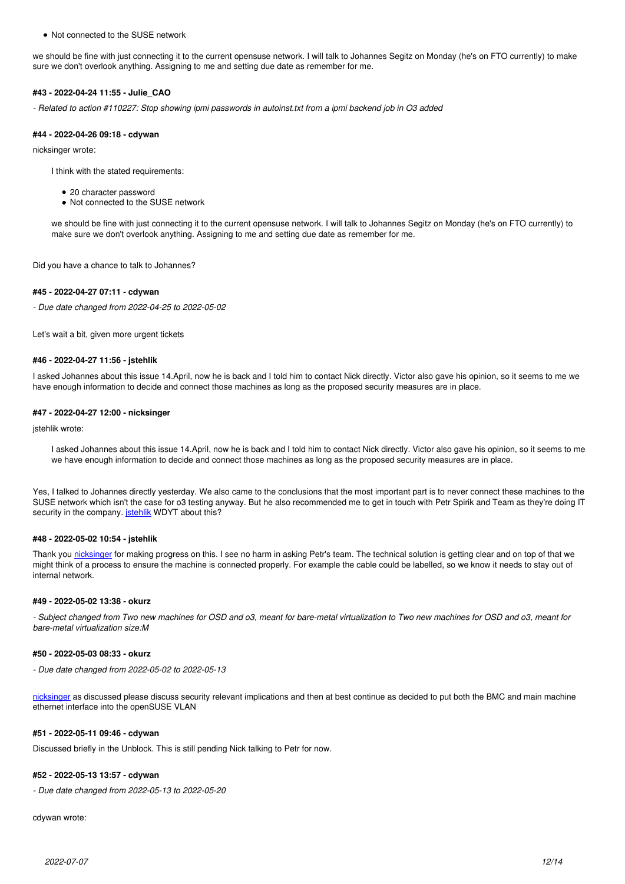Not connected to the SUSE network

we should be fine with just connecting it to the current opensuse network. I will talk to Johannes Segitz on Monday (he's on FTO currently) to make sure we don't overlook anything. Assigning to me and setting due date as remember for me.

#### **#43 - 2022-04-24 11:55 - Julie\_CAO**

*- Related to action #110227: Stop showing ipmi passwords in autoinst.txt from a ipmi backend job in O3 added*

#### **#44 - 2022-04-26 09:18 - cdywan**

nicksinger wrote:

I think with the stated requirements:

- 20 character password
- Not connected to the SUSE network

we should be fine with just connecting it to the current opensuse network. I will talk to Johannes Segitz on Monday (he's on FTO currently) to make sure we don't overlook anything. Assigning to me and setting due date as remember for me.

Did you have a chance to talk to Johannes?

## **#45 - 2022-04-27 07:11 - cdywan**

*- Due date changed from 2022-04-25 to 2022-05-02*

Let's wait a bit, given more urgent tickets

### **#46 - 2022-04-27 11:56 - jstehlik**

I asked Johannes about this issue 14.April, now he is back and I told him to contact Nick directly. Victor also gave his opinion, so it seems to me we have enough information to decide and connect those machines as long as the proposed security measures are in place.

#### **#47 - 2022-04-27 12:00 - nicksinger**

jstehlik wrote:

I asked Johannes about this issue 14.April, now he is back and I told him to contact Nick directly. Victor also gave his opinion, so it seems to me we have enough information to decide and connect those machines as long as the proposed security measures are in place.

Yes, I talked to Johannes directly yesterday. We also came to the conclusions that the most important part is to never connect these machines to the SUSE network which isn't the case for o3 testing anyway. But he also recommended me to get in touch with Petr Spirik and Team as they're doing IT security in the company. *[jstehlik](progress.opensuse.org/users/39517)* WDYT about this?

#### **#48 - 2022-05-02 10:54 - jstehlik**

Thank you [nicksinger](progress.opensuse.org/users/24624) for making progress on this. I see no harm in asking Petr's team. The technical solution is getting clear and on top of that we might think of a process to ensure the machine is connected properly. For example the cable could be labelled, so we know it needs to stay out of internal network.

#### **#49 - 2022-05-02 13:38 - okurz**

*- Subject changed from Two new machines for OSD and o3, meant for bare-metal virtualization to Two new machines for OSD and o3, meant for bare-metal virtualization size:M*

#### **#50 - 2022-05-03 08:33 - okurz**

*- Due date changed from 2022-05-02 to 2022-05-13*

[nicksinger](progress.opensuse.org/users/24624) as discussed please discuss security relevant implications and then at best continue as decided to put both the BMC and main machine ethernet interface into the openSUSE VLAN

#### **#51 - 2022-05-11 09:46 - cdywan**

Discussed briefly in the Unblock. This is still pending Nick talking to Petr for now.

## **#52 - 2022-05-13 13:57 - cdywan**

*- Due date changed from 2022-05-13 to 2022-05-20*

cdywan wrote: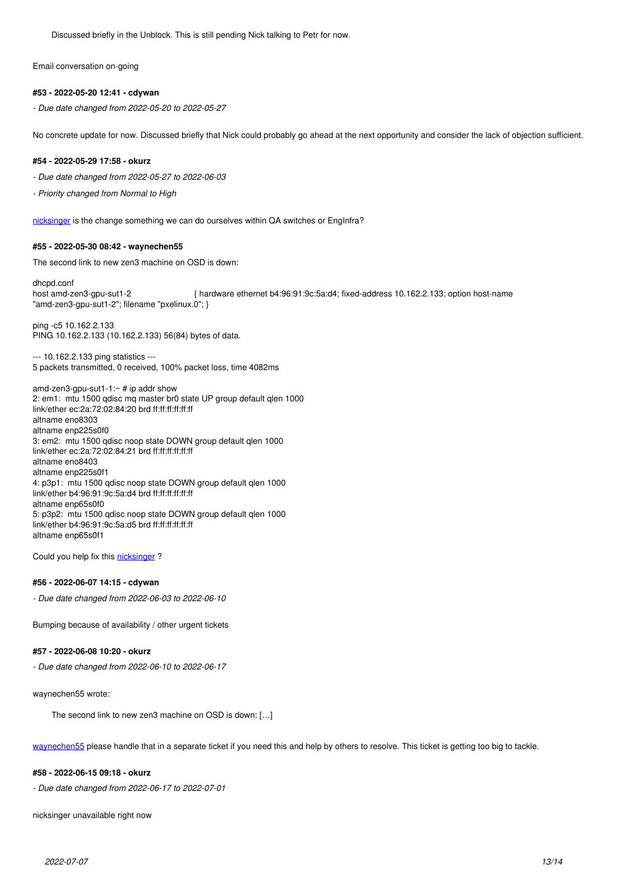Discussed briefly in the Unblock. This is still pending Nick talking to Petr for now.

Email conversation on-going

## **#53 - 2022-05-20 12:41 - cdywan**

*- Due date changed from 2022-05-20 to 2022-05-27*

No concrete update for now. Discussed briefly that Nick could probably go ahead at the next opportunity and consider the lack of objection sufficient.

### **#54 - 2022-05-29 17:58 - okurz**

*- Due date changed from 2022-05-27 to 2022-06-03*

*- Priority changed from Normal to High*

[nicksinger](progress.opensuse.org/users/24624) is the change something we can do ourselves within QA switches or EngInfra?

## **#55 - 2022-05-30 08:42 - waynechen55**

The second link to new zen3 machine on OSD is down:

dhcpd.conf host amd-zen3-gpu-sut1-2 { hardware ethernet b4:96:91:9c:5a:d4; fixed-address 10.162.2.133; option host-name "amd-zen3-gpu-sut1-2"; filename "pxelinux.0"; }

ping -c5 10.162.2.133 PING 10.162.2.133 (10.162.2.133) 56(84) bytes of data.

--- 10.162.2.133 ping statistics --- 5 packets transmitted, 0 received, 100% packet loss, time 4082ms

amd-zen3-gpu-sut1-1:~ # ip addr show 2: em1: mtu 1500 qdisc mq master br0 state UP group default qlen 1000 link/ether ec:2a:72:02:84:20 brd ff:ff:ff:ff:ff:ff altname eno8303 altname enp225s0f0 3: em2: mtu 1500 qdisc noop state DOWN group default qlen 1000 link/ether ec:2a:72:02:84:21 brd ff:ff:ff:ff:ff:ff altname eno8403 altname enp225s0f1 4: p3p1: mtu 1500 qdisc noop state DOWN group default qlen 1000 link/ether b4:96:91:9c:5a:d4 brd ff:ff:ff:ff:ff:ff altname enp65s0f0 5: p3p2: mtu 1500 qdisc noop state DOWN group default qlen 1000 link/ether b4:96:91:9c:5a:d5 brd ff:ff:ff:ff:ff:ff altname enp65s0f1

Could you help fix this nicksinger?

#### **#56 - 2022-06-07 14:15 - cdywan**

*- Due date changed from 2022-06-03 to 2022-06-10*

Bumping because of availability / other urgent tickets

## **#57 - 2022-06-08 10:20 - okurz**

*- Due date changed from 2022-06-10 to 2022-06-17*

waynechen55 wrote:

The second link to new zen3 machine on OSD is down: […]

[waynechen55](progress.opensuse.org/users/29776) please handle that in a separate ticket if you need this and help by others to resolve. This ticket is getting too big to tackle.

#### **#58 - 2022-06-15 09:18 - okurz**

*- Due date changed from 2022-06-17 to 2022-07-01*

nicksinger unavailable right now